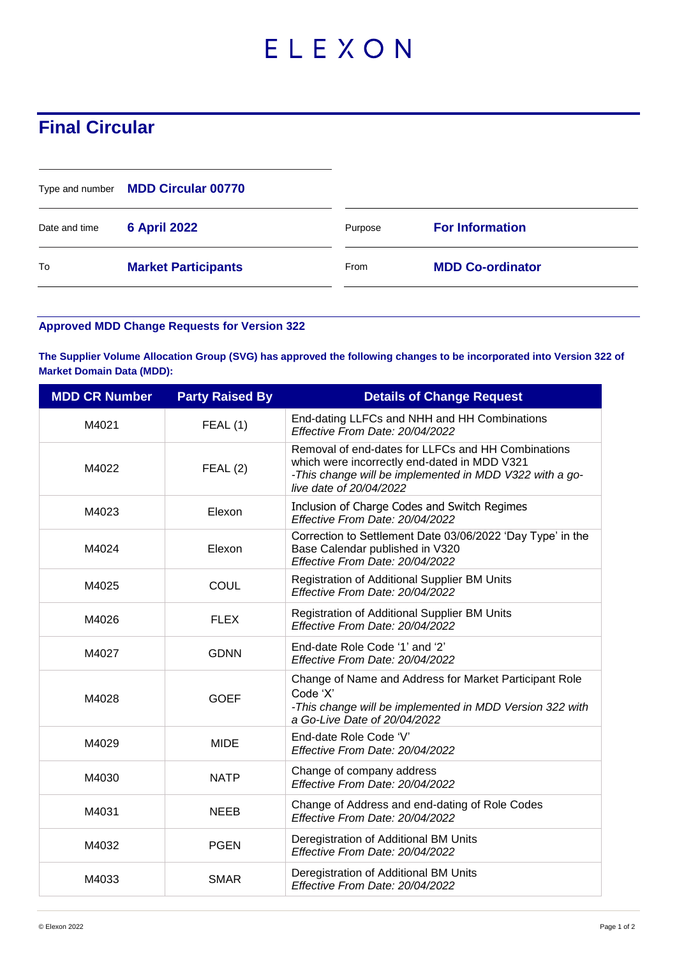## ELEXON

## **Final Circular**

|               | Type and number MDD Circular 00770 |         |                         |
|---------------|------------------------------------|---------|-------------------------|
| Date and time | <b>6 April 2022</b>                | Purpose | <b>For Information</b>  |
| To            | <b>Market Participants</b>         | From    | <b>MDD Co-ordinator</b> |

## **Approved MDD Change Requests for Version 322**

**The Supplier Volume Allocation Group (SVG) has approved the following changes to be incorporated into Version 322 of Market Domain Data (MDD):**

| <b>MDD CR Number</b> | <b>Party Raised By</b> | <b>Details of Change Request</b>                                                                                                                                                         |
|----------------------|------------------------|------------------------------------------------------------------------------------------------------------------------------------------------------------------------------------------|
| M4021                | FEAL(1)                | End-dating LLFCs and NHH and HH Combinations<br>Effective From Date: 20/04/2022                                                                                                          |
| M4022                | FEAL(2)                | Removal of end-dates for LLFCs and HH Combinations<br>which were incorrectly end-dated in MDD V321<br>-This change will be implemented in MDD V322 with a go-<br>live date of 20/04/2022 |
| M4023                | Elexon                 | Inclusion of Charge Codes and Switch Regimes<br>Effective From Date: 20/04/2022                                                                                                          |
| M4024                | Elexon                 | Correction to Settlement Date 03/06/2022 'Day Type' in the<br>Base Calendar published in V320<br>Effective From Date: 20/04/2022                                                         |
| M4025                | <b>COUL</b>            | Registration of Additional Supplier BM Units<br>Effective From Date: 20/04/2022                                                                                                          |
| M4026                | <b>FLEX</b>            | Registration of Additional Supplier BM Units<br>Effective From Date: 20/04/2022                                                                                                          |
| M4027                | <b>GDNN</b>            | End-date Role Code '1' and '2'<br>Effective From Date: 20/04/2022                                                                                                                        |
| M4028                | <b>GOEF</b>            | Change of Name and Address for Market Participant Role<br>Code 'X'<br>-This change will be implemented in MDD Version 322 with<br>a Go-Live Date of 20/04/2022                           |
| M4029                | <b>MIDE</b>            | End-date Role Code 'V'<br>Effective From Date: 20/04/2022                                                                                                                                |
| M4030                | <b>NATP</b>            | Change of company address<br>Effective From Date: 20/04/2022                                                                                                                             |
| M4031                | <b>NEEB</b>            | Change of Address and end-dating of Role Codes<br>Effective From Date: 20/04/2022                                                                                                        |
| M4032                | <b>PGEN</b>            | Deregistration of Additional BM Units<br>Effective From Date: 20/04/2022                                                                                                                 |
| M4033                | <b>SMAR</b>            | Deregistration of Additional BM Units<br>Effective From Date: 20/04/2022                                                                                                                 |